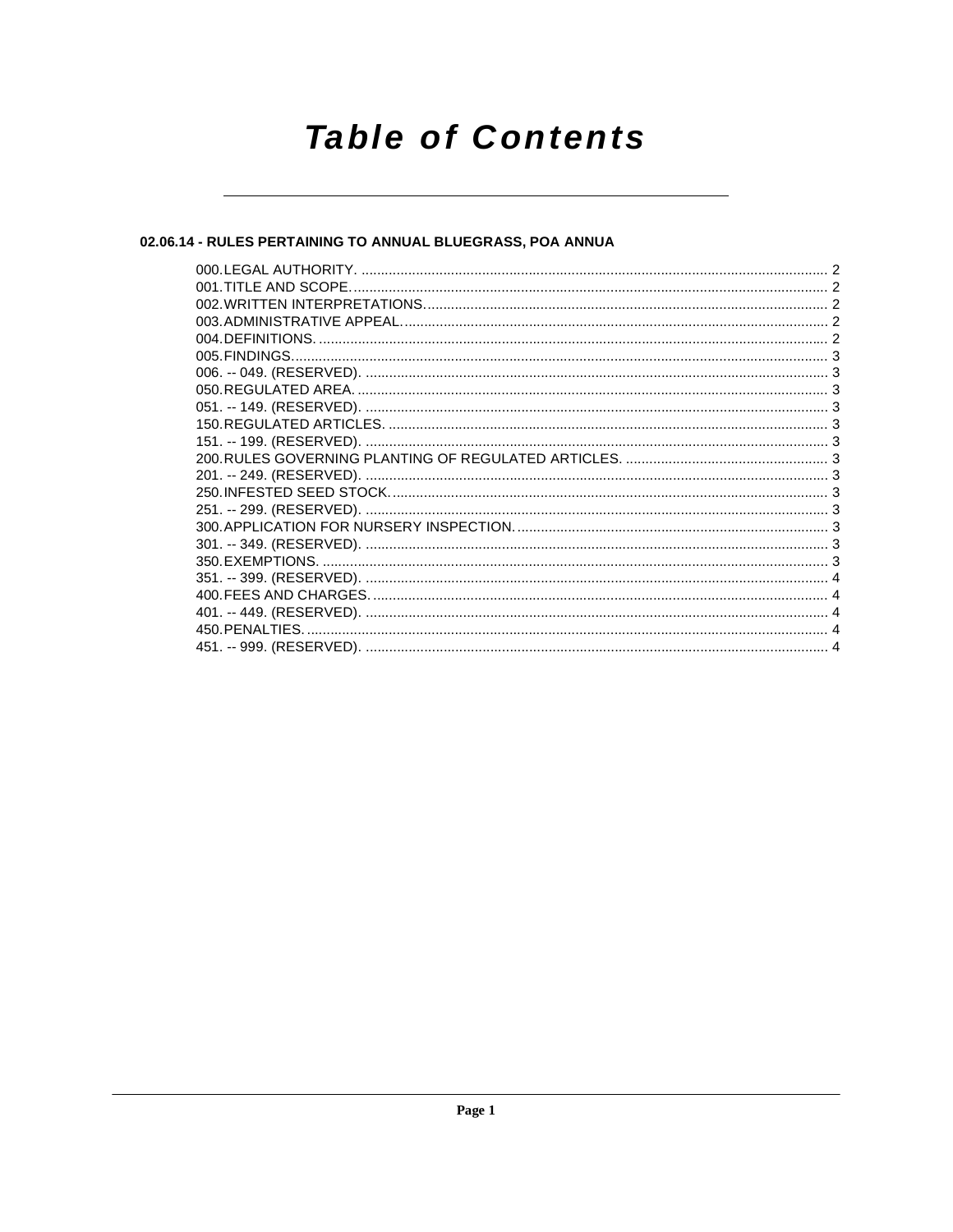# **Table of Contents**

## 02.06.14 - RULES PERTAINING TO ANNUAL BLUEGRASS, POA ANNUA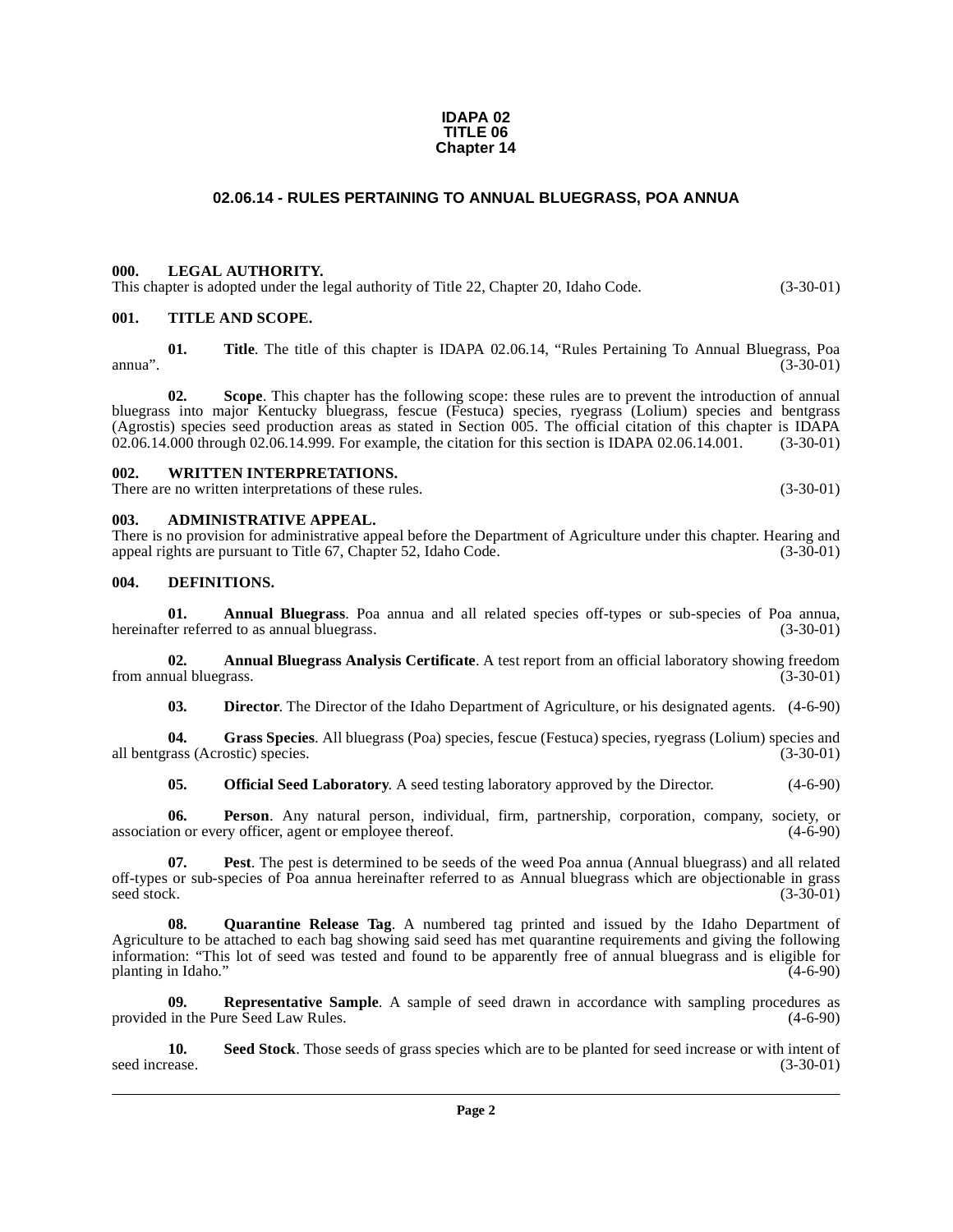#### **IDAPA 02 TITLE 06 Chapter 14**

#### **02.06.14 - RULES PERTAINING TO ANNUAL BLUEGRASS, POA ANNUA**

#### <span id="page-1-1"></span><span id="page-1-0"></span>**000. LEGAL AUTHORITY.**

This chapter is adopted under the legal authority of Title 22, Chapter 20, Idaho Code. (3-30-01)

#### <span id="page-1-2"></span>**001. TITLE AND SCOPE.**

**01. Title**. The title of this chapter is IDAPA 02.06.14, "Rules Pertaining To Annual Bluegrass, Poa annua". (3-30-01)

**02. Scope**. This chapter has the following scope: these rules are to prevent the introduction of annual bluegrass into major Kentucky bluegrass, fescue (Festuca) species, ryegrass (Lolium) species and bentgrass (Agrostis) species seed production areas as stated in Section 005. The official citation of this chapter is IDAPA 02.06.14.000 through 02.06.14.999. For example, the citation for this section is IDAPA 02.06.14.001. (3-30-0 02.06.14.000 through 02.06.14.999. For example, the citation for this section is IDAPA 02.06.14.001.

#### <span id="page-1-3"></span>**002. WRITTEN INTERPRETATIONS.**

There are no written interpretations of these rules. (3-30-01)

#### <span id="page-1-4"></span>**003. ADMINISTRATIVE APPEAL.**

There is no provision for administrative appeal before the Department of Agriculture under this chapter. Hearing and appeal rights are pursuant to Title 67. Chapter 52. Idaho Code. (3-30-01) appeal rights are pursuant to Title 67, Chapter 52, Idaho Code.

#### <span id="page-1-8"></span><span id="page-1-5"></span>**004. DEFINITIONS.**

<span id="page-1-6"></span>**01. Annual Bluegrass**. Poa annua and all related species off-types or sub-species of Poa annua, hereinafter referred to as annual bluegrass.

**02. Annual Bluegrass Analysis Certificate**. A test report from an official laboratory showing freedom from annual bluegrass. (3-30-01)

<span id="page-1-9"></span><span id="page-1-7"></span>**03. Director**. The Director of the Idaho Department of Agriculture, or his designated agents. (4-6-90)

**04. Grass Species**. All bluegrass (Poa) species, fescue (Festuca) species, ryegrass (Lolium) species and all bentgrass (Acrostic) species. (3-30-01)

<span id="page-1-11"></span><span id="page-1-10"></span>**05. Official Seed Laboratory**. A seed testing laboratory approved by the Director. (4-6-90)

**06. Person**. Any natural person, individual, firm, partnership, corporation, company, society, or association or every officer, agent or employee thereof.  $(4-6-90)$ 

**07. Pest**. The pest is determined to be seeds of the weed Poa annua (Annual bluegrass) and all related off-types or sub-species of Poa annua hereinafter referred to as Annual bluegrass which are objectionable in grass  $\text{seed stock.}$  (3-30-01)

<span id="page-1-12"></span>**08. Quarantine Release Tag**. A numbered tag printed and issued by the Idaho Department of Agriculture to be attached to each bag showing said seed has met quarantine requirements and giving the following information: "This lot of seed was tested and found to be apparently free of annual bluegrass and is eligible for planting in Idaho." (4-6-90)

<span id="page-1-13"></span>**09. Representative Sample**. A sample of seed drawn in accordance with sampling procedures as in the Pure Seed Law Rules. (4-6-90) provided in the Pure Seed Law Rules.

<span id="page-1-14"></span>**10.** Seed Stock. Those seeds of grass species which are to be planted for seed increase or with intent of seed increase. (3-30-01) seed increase. (3-30-01)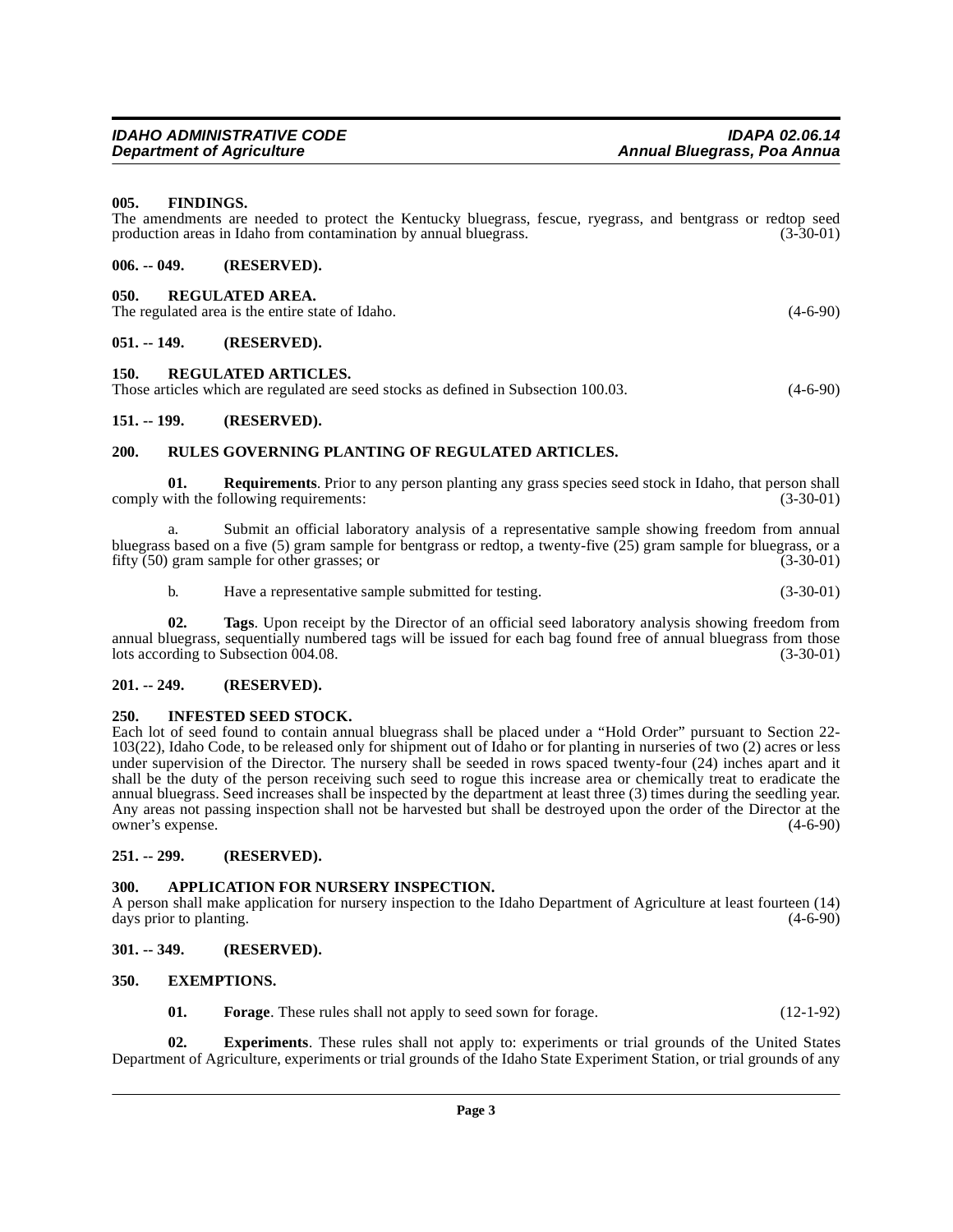production areas in Idaho from contamination by annual bluegrass.

## <span id="page-2-4"></span><span id="page-2-3"></span>**150. REGULATED ARTICLES.**

| ----- |                                                                                     |            |
|-------|-------------------------------------------------------------------------------------|------------|
|       | Those articles which are regulated are seed stocks as defined in Subsection 100.03. | $(4-6-90)$ |

The amendments are needed to protect the Kentucky bluegrass, fescue, ryegrass, and bentgrass or redtop seed production areas in Idaho from contamination by annual bluegrass. (3-30-01)

## <span id="page-2-5"></span>**151. -- 199. (RESERVED).**

<span id="page-2-2"></span><span id="page-2-1"></span>**006. -- 049. (RESERVED). 050. REGULATED AREA.**

<span id="page-2-0"></span>**005. FINDINGS.**

### <span id="page-2-17"></span><span id="page-2-6"></span>**200. RULES GOVERNING PLANTING OF REGULATED ARTICLES.**

**01. Requirements**. Prior to any person planting any grass species seed stock in Idaho, that person shall with the following requirements: comply with the following requirements:

a. Submit an official laboratory analysis of a representative sample showing freedom from annual bluegrass based on a five  $(5)$  gram sample for bentgrass or redtop, a twenty-five  $(25)$  gram sample for bluegrass, or a fifty (50) gram sample for other grasses; or (3-30-01)

<span id="page-2-18"></span>b. Have a representative sample submitted for testing. (3-30-01)

**02. Tags**. Upon receipt by the Director of an official seed laboratory analysis showing freedom from annual bluegrass, sequentially numbered tags will be issued for each bag found free of annual bluegrass from those lots according to Subsection 004.08. (3-30-01)

## <span id="page-2-7"></span>**201. -- 249. (RESERVED).**

## <span id="page-2-16"></span><span id="page-2-8"></span>**250. INFESTED SEED STOCK.**

Each lot of seed found to contain annual bluegrass shall be placed under a "Hold Order" pursuant to Section 22- 103(22), Idaho Code, to be released only for shipment out of Idaho or for planting in nurseries of two (2) acres or less under supervision of the Director. The nursery shall be seeded in rows spaced twenty-four (24) inches apart and it shall be the duty of the person receiving such seed to rogue this increase area or chemically treat to eradicate the annual bluegrass. Seed increases shall be inspected by the department at least three (3) times during the seedling year. Any areas not passing inspection shall not be harvested but shall be destroyed upon the order of the Director at the owner's expense. (4-6-90)

## <span id="page-2-9"></span>**251. -- 299. (RESERVED).**

## <span id="page-2-13"></span><span id="page-2-10"></span>**300. APPLICATION FOR NURSERY INSPECTION.**

A person shall make application for nursery inspection to the Idaho Department of Agriculture at least fourteen (14) days prior to planting. (4-6-90)

## <span id="page-2-11"></span>**301. -- 349. (RESERVED).**

## <span id="page-2-12"></span>**350. EXEMPTIONS.**

<span id="page-2-15"></span><span id="page-2-14"></span>**01. Forage**. These rules shall not apply to seed sown for forage. (12-1-92)

**02. Experiments**. These rules shall not apply to: experiments or trial grounds of the United States Department of Agriculture, experiments or trial grounds of the Idaho State Experiment Station, or trial grounds of any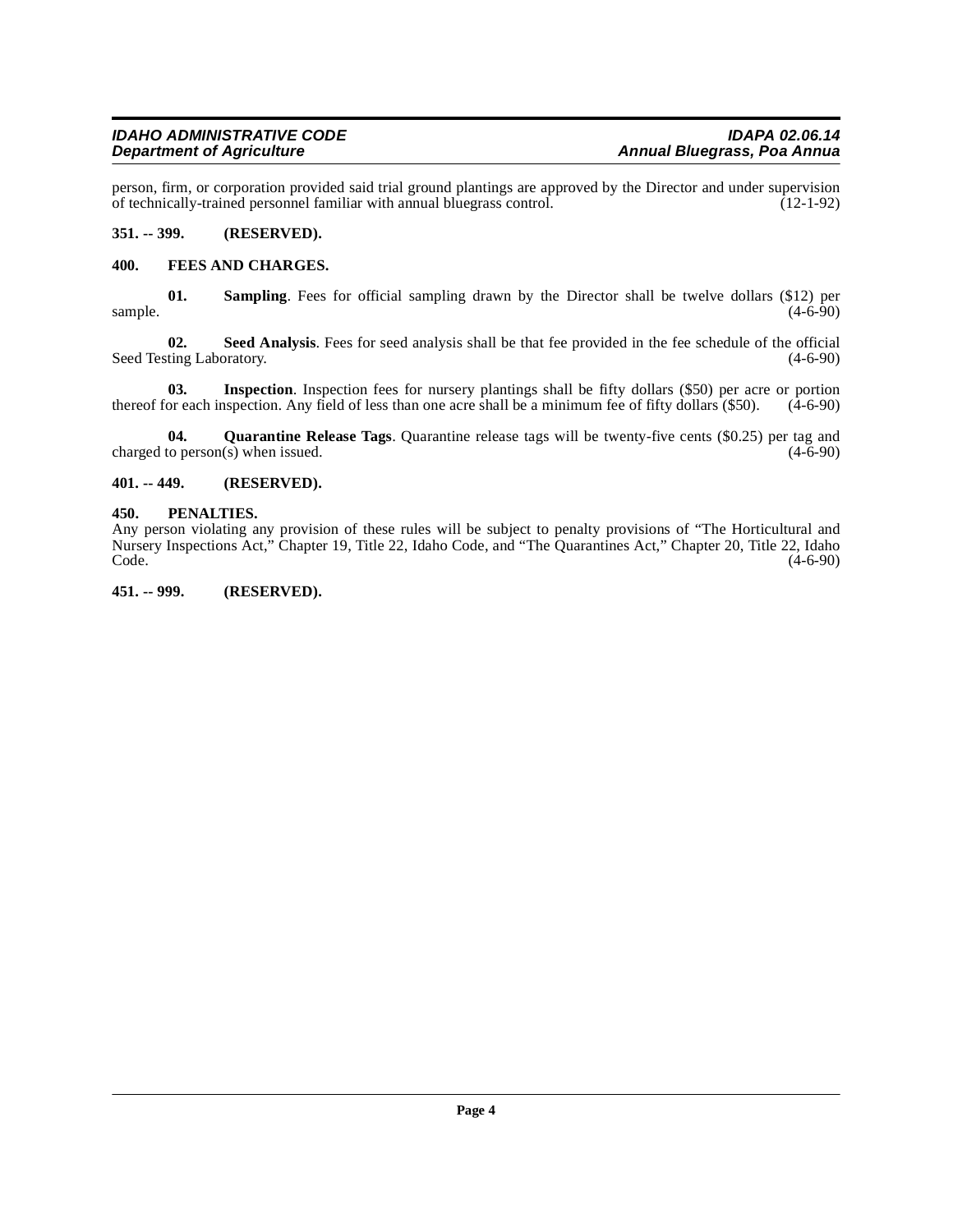person, firm, or corporation provided said trial ground plantings are approved by the Director and under supervision<br>of technically-trained personnel familiar with annual bluegrass control. (12-1-92) of technically-trained personnel familiar with annual bluegrass control.

#### <span id="page-3-0"></span>**351. -- 399. (RESERVED).**

#### <span id="page-3-5"></span><span id="page-3-1"></span>**400. FEES AND CHARGES.**

**01. Sampling**. Fees for official sampling drawn by the Director shall be twelve dollars (\$12) per (4-6-90) sample.  $(4-6-90)$ 

**02.** Seed Analysis. Fees for seed analysis shall be that fee provided in the fee schedule of the official ting Laboratory. (4-6-90) Seed Testing Laboratory.

**03. Inspection**. Inspection fees for nursery plantings shall be fifty dollars (\$50) per acre or portion thereof for each inspection. Any field of less than one acre shall be a minimum fee of fifty dollars (\$50). (4-6-90)

<span id="page-3-7"></span>**04.** Quarantine Release Tags. Quarantine release tags will be twenty-five cents (\$0.25) per tag and to person(s) when issued. (4-6-90) charged to person $(s)$  when issued.

#### <span id="page-3-2"></span>**401. -- 449. (RESERVED).**

#### <span id="page-3-6"></span><span id="page-3-3"></span>**450. PENALTIES.**

Any person violating any provision of these rules will be subject to penalty provisions of "The Horticultural and Nursery Inspections Act," Chapter 19, Title 22, Idaho Code, and "The Quarantines Act," Chapter 20, Title 22, Idaho  $\text{Code.}$  (4-6-90)

<span id="page-3-4"></span>**451. -- 999. (RESERVED).**